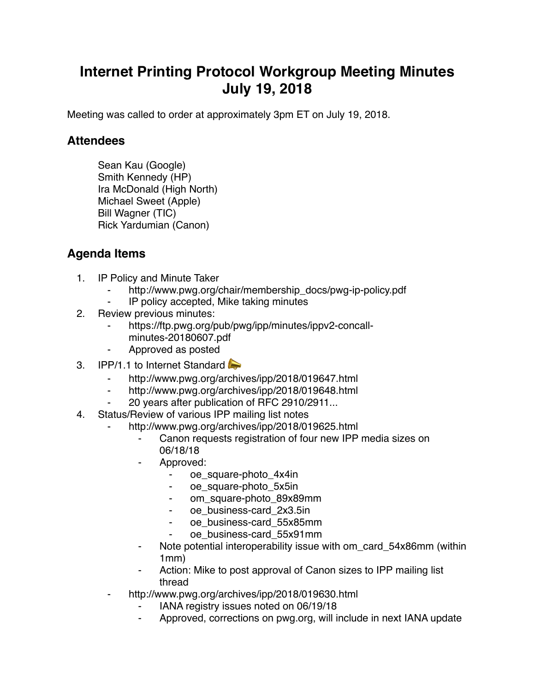## **Internet Printing Protocol Workgroup Meeting Minutes July 19, 2018**

Meeting was called to order at approximately 3pm ET on July 19, 2018.

## **Attendees**

Sean Kau (Google) Smith Kennedy (HP) Ira McDonald (High North) Michael Sweet (Apple) Bill Wagner (TIC) Rick Yardumian (Canon)

## **Agenda Items**

- 1. IP Policy and Minute Taker
	- http://www.pwg.org/chair/membership\_docs/pwg-ip-policy.pdf
	- IP policy accepted, Mike taking minutes
- 2. Review previous minutes:
	- https://ftp.pwg.org/pub/pwg/ipp/minutes/ippv2-concallminutes-20180607.pdf
	- ⁃ Approved as posted
- 3. IPP/1.1 to Internet Standard
	- http://www.pwg.org/archives/ipp/2018/019647.html
	- ⁃ http://www.pwg.org/archives/ipp/2018/019648.html
	- 20 years after publication of RFC 2910/2911...
- 4. Status/Review of various IPP mailing list notes
	- http://www.pwg.org/archives/ipp/2018/019625.html
		- Canon requests registration of four new IPP media sizes on 06/18/18
		- Approved:
			- ⁃ oe\_square-photo\_4x4in
			- oe\_square-photo\_5x5in
			- om\_square-photo\_89x89mm
			- ⁃ oe\_business-card\_2x3.5in
			- ⁃ oe\_business-card\_55x85mm
			- oe\_business-card\_55x91mm
		- Note potential interoperability issue with om\_card\_54x86mm (within 1mm)
		- Action: Mike to post approval of Canon sizes to IPP mailing list thread
	- http://www.pwg.org/archives/ipp/2018/019630.html
		- ⁃ IANA registry issues noted on 06/19/18
		- Approved, corrections on pwg.org, will include in next IANA update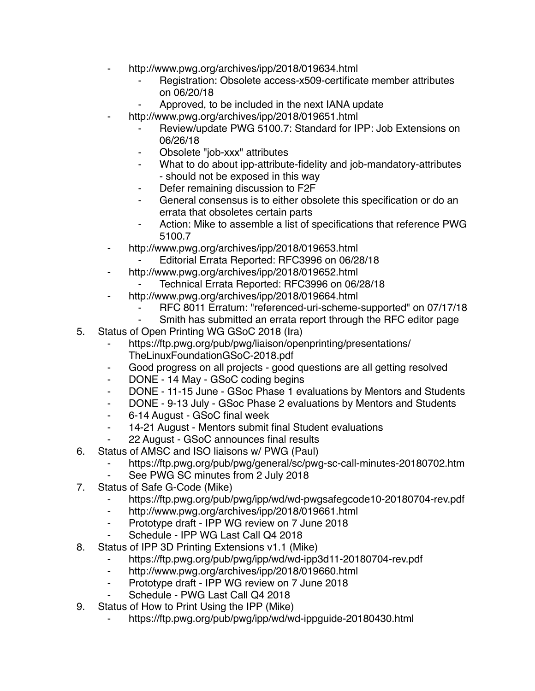- http://www.pwg.org/archives/ipp/2018/019634.html
	- Registration: Obsolete access-x509-certificate member attributes on 06/20/18
	- Approved, to be included in the next IANA update
- http://www.pwg.org/archives/ipp/2018/019651.html
	- Review/update PWG 5100.7: Standard for IPP: Job Extensions on 06/26/18
	- Obsolete "job-xxx" attributes
	- What to do about ipp-attribute-fidelity and job-mandatory-attributes - should not be exposed in this way
	- Defer remaining discussion to F2F
	- ⁃ General consensus is to either obsolete this specification or do an errata that obsoletes certain parts
	- ⁃ Action: Mike to assemble a list of specifications that reference PWG 5100.7
- ⁃ http://www.pwg.org/archives/ipp/2018/019653.html
	- Editorial Errata Reported: RFC3996 on 06/28/18
- ⁃ http://www.pwg.org/archives/ipp/2018/019652.html
	- Technical Errata Reported: RFC3996 on 06/28/18
- ⁃ http://www.pwg.org/archives/ipp/2018/019664.html
	- RFC 8011 Erratum: "referenced-uri-scheme-supported" on 07/17/18
	- ⁃ Smith has submitted an errata report through the RFC editor page
- 5. Status of Open Printing WG GSoC 2018 (Ira)
	- https://ftp.pwg.org/pub/pwg/liaison/openprinting/presentations/ TheLinuxFoundationGSoC-2018.pdf
	- ⁃ Good progress on all projects good questions are all getting resolved
	- ⁃ DONE 14 May GSoC coding begins
	- ⁃ DONE 11-15 June GSoc Phase 1 evaluations by Mentors and Students
	- ⁃ DONE 9-13 July GSoc Phase 2 evaluations by Mentors and Students
	- ⁃ 6-14 August GSoC final week
	- ⁃ 14-21 August Mentors submit final Student evaluations
	- 22 August GSoC announces final results
- 6. Status of AMSC and ISO liaisons w/ PWG (Paul)
	- https://ftp.pwg.org/pub/pwg/general/sc/pwg-sc-call-minutes-20180702.htm
	- See PWG SC minutes from 2 July 2018
- 7. Status of Safe G-Code (Mike)
	- ⁃ https://ftp.pwg.org/pub/pwg/ipp/wd/wd-pwgsafegcode10-20180704-rev.pdf
	- ⁃ http://www.pwg.org/archives/ipp/2018/019661.html
	- ⁃ Prototype draft IPP WG review on 7 June 2018
	- Schedule IPP WG Last Call Q4 2018
- 8. Status of IPP 3D Printing Extensions v1.1 (Mike)
	- ⁃ https://ftp.pwg.org/pub/pwg/ipp/wd/wd-ipp3d11-20180704-rev.pdf
	- ⁃ http://www.pwg.org/archives/ipp/2018/019660.html
	- ⁃ Prototype draft IPP WG review on 7 June 2018
	- Schedule PWG Last Call Q4 2018
- 9. Status of How to Print Using the IPP (Mike)
	- https://ftp.pwg.org/pub/pwg/ipp/wd/wd-ippguide-20180430.html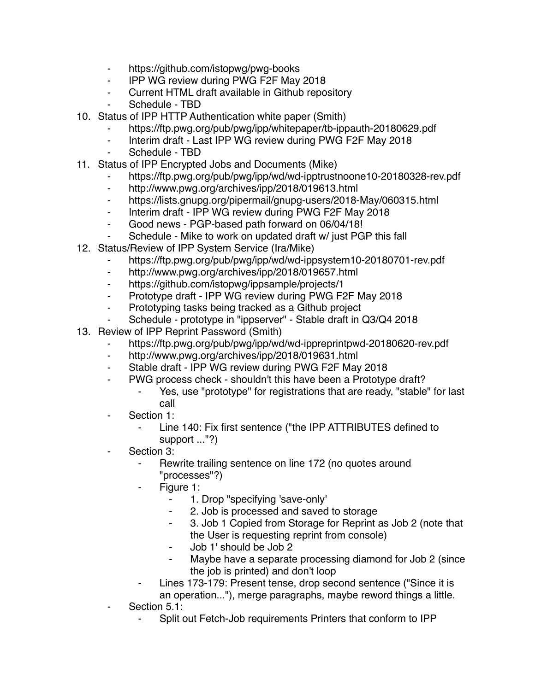- ⁃ https://github.com/istopwg/pwg-books
- ⁃ IPP WG review during PWG F2F May 2018
- ⁃ Current HTML draft available in Github repository
- Schedule TBD
- 10. Status of IPP HTTP Authentication white paper (Smith)
	- https://ftp.pwg.org/pub/pwg/ipp/whitepaper/tb-ippauth-20180629.pdf
	- ⁃ Interim draft Last IPP WG review during PWG F2F May 2018
	- Schedule TBD
- 11. Status of IPP Encrypted Jobs and Documents (Mike)
	- ⁃ https://ftp.pwg.org/pub/pwg/ipp/wd/wd-ipptrustnoone10-20180328-rev.pdf
	- ⁃ http://www.pwg.org/archives/ipp/2018/019613.html
	- ⁃ https://lists.gnupg.org/pipermail/gnupg-users/2018-May/060315.html
	- ⁃ Interim draft IPP WG review during PWG F2F May 2018
	- ⁃ Good news PGP-based path forward on 06/04/18!
	- Schedule Mike to work on updated draft w/ just PGP this fall
- 12. Status/Review of IPP System Service (Ira/Mike)
	- https://ftp.pwg.org/pub/pwg/ipp/wd/wd-ippsystem10-20180701-rev.pdf
	- http://www.pwg.org/archives/ipp/2018/019657.html
	- ⁃ https://github.com/istopwg/ippsample/projects/1
	- ⁃ Prototype draft IPP WG review during PWG F2F May 2018
	- ⁃ Prototyping tasks being tracked as a Github project
	- Schedule prototype in "ippserver" Stable draft in Q3/Q4 2018
- 13. Review of IPP Reprint Password (Smith)
	- https://ftp.pwg.org/pub/pwg/ipp/wd/wd-ippreprintpwd-20180620-rev.pdf
	- ⁃ http://www.pwg.org/archives/ipp/2018/019631.html
	- ⁃ Stable draft IPP WG review during PWG F2F May 2018
	- ⁃ PWG process check shouldn't this have been a Prototype draft?
		- Yes, use "prototype" for registrations that are ready, "stable" for last call
	- Section 1:
		- Line 140: Fix first sentence ("the IPP ATTRIBUTES defined to support ..."?)
	- Section 3:
		- ⁃ Rewrite trailing sentence on line 172 (no quotes around "processes"?)
		- Figure 1:
			- ⁃ 1. Drop "specifying 'save-only'
			- ⁃ 2. Job is processed and saved to storage
			- 3. Job 1 Copied from Storage for Reprint as Job 2 (note that the User is requesting reprint from console)
			- ⁃ Job 1' should be Job 2
			- ⁃ Maybe have a separate processing diamond for Job 2 (since the job is printed) and don't loop
		- Lines 173-179: Present tense, drop second sentence ("Since it is an operation..."), merge paragraphs, maybe reword things a little.
	- Section 5.1:
		- Split out Fetch-Job requirements Printers that conform to IPP